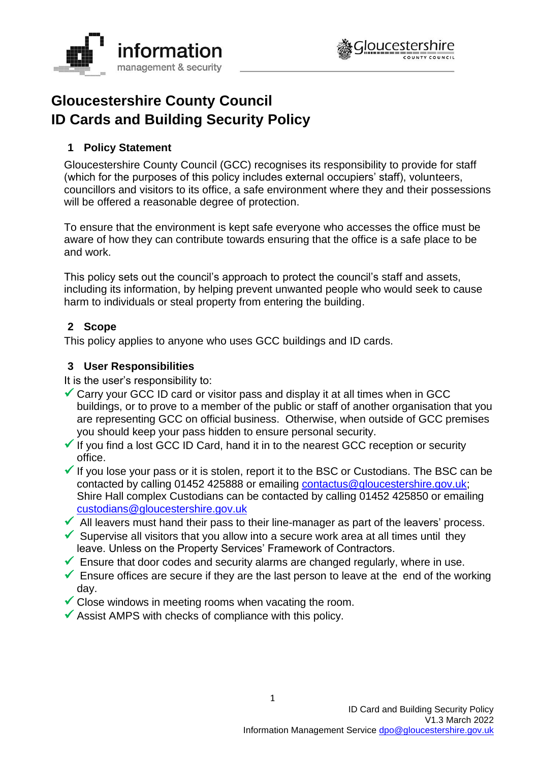



# **Gloucestershire County Council ID Cards and Building Security Policy**

# **1 Policy Statement**

Gloucestershire County Council (GCC) recognises its responsibility to provide for staff (which for the purposes of this policy includes external occupiers' staff), volunteers, councillors and visitors to its office, a safe environment where they and their possessions will be offered a reasonable degree of protection.

To ensure that the environment is kept safe everyone who accesses the office must be aware of how they can contribute towards ensuring that the office is a safe place to be and work.

This policy sets out the council's approach to protect the council's staff and assets, including its information, by helping prevent unwanted people who would seek to cause harm to individuals or steal property from entering the building.

# **2 Scope**

This policy applies to anyone who uses GCC buildings and ID cards.

# **3 User Responsibilities**

It is the user's responsibility to:

- ✓ Carry your GCC ID card or visitor pass and display it at all times when in GCC buildings, or to prove to a member of the public or staff of another organisation that you are representing GCC on official business. Otherwise, when outside of GCC premises you should keep your pass hidden to ensure personal security.
- $\checkmark$  If you find a lost GCC ID Card, hand it in to the nearest GCC reception or security office.
- $\checkmark$  If you lose your pass or it is stolen, report it to the BSC or Custodians. The BSC can be contacted by calling 01452 425888 or emailing [contactus@gloucestershire.gov.uk;](mailto:contactus@gloucestershire.gov.uk) Shire Hall complex Custodians can be contacted by calling 01452 425850 or emailing [custodians@gloucestershire.gov.uk](mailto:custodians@gloucestershire.gov.uk)
- $\blacktriangleright$  All leavers must hand their pass to their line-manager as part of the leavers' process.
- $\checkmark$  Supervise all visitors that you allow into a secure work area at all times until they leave. Unless on the Property Services' Framework of Contractors.
- $\checkmark$  Ensure that door codes and security alarms are changed regularly, where in use.
- $\checkmark$  Ensure offices are secure if they are the last person to leave at the end of the working day.
- $\checkmark$  Close windows in meeting rooms when vacating the room.
- $\checkmark$  Assist AMPS with checks of compliance with this policy.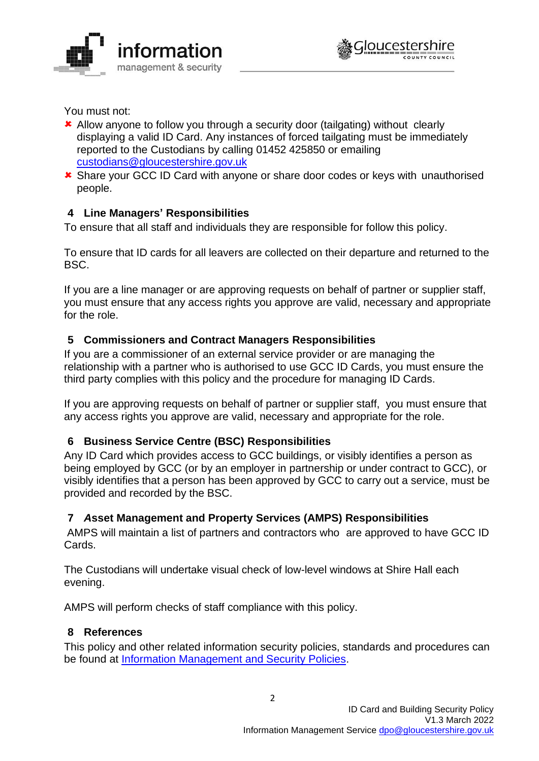



You must not:

- Allow anyone to follow you through a security door (tailgating) without clearly displaying a valid ID Card. Any instances of forced tailgating must be immediately reported to the Custodians by calling 01452 425850 or emailing [custodians@gloucestershire.gov.uk](mailto:custodians@gloucestershire.gov.uk)
- **\*** Share your GCC ID Card with anyone or share door codes or keys with unauthorised people.

## **4 Line Managers' Responsibilities**

To ensure that all staff and individuals they are responsible for follow this policy.

To ensure that ID cards for all leavers are collected on their departure and returned to the BSC.

If you are a line manager or are approving requests on behalf of partner or supplier staff, you must ensure that any access rights you approve are valid, necessary and appropriate for the role.

## **5 Commissioners and Contract Managers Responsibilities**

If you are a commissioner of an external service provider or are managing the relationship with a partner who is authorised to use GCC ID Cards, you must ensure the third party complies with this policy and the procedure for managing ID Cards.

If you are approving requests on behalf of partner or supplier staff, you must ensure that any access rights you approve are valid, necessary and appropriate for the role.

#### **6 Business Service Centre (BSC) Responsibilities**

Any ID Card which provides access to GCC buildings, or visibly identifies a person as being employed by GCC (or by an employer in partnership or under contract to GCC), or visibly identifies that a person has been approved by GCC to carry out a service, must be provided and recorded by the BSC.

# **7** *A***sset Management and Property Services (AMPS) Responsibilities**

AMPS will maintain a list of partners and contractors who are approved to have GCC ID Cards.

The Custodians will undertake visual check of low-level windows at Shire Hall each evening.

AMPS will perform checks of staff compliance with this policy.

#### **8 References**

This policy and other related information security policies, standards and procedures can be found at [Information Management and Security Policies.](http://www.gloucestershire.gov.uk/council-and-democracy/strategies-plans-policies/information-management-and-security-policies/)